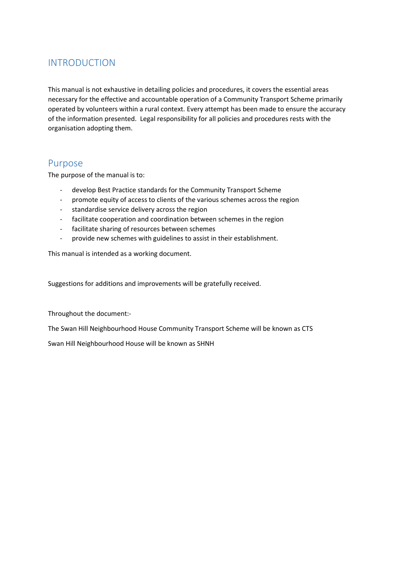## INTRODUCTION

This manual is not exhaustive in detailing policies and procedures, it covers the essential areas necessary for the effective and accountable operation of a Community Transport Scheme primarily operated by volunteers within a rural context. Every attempt has been made to ensure the accuracy of the information presented. Legal responsibility for all policies and procedures rests with the organisation adopting them.

### Purpose

The purpose of the manual is to:

- develop Best Practice standards for the Community Transport Scheme
- promote equity of access to clients of the various schemes across the region
- standardise service delivery across the region
- facilitate cooperation and coordination between schemes in the region
- facilitate sharing of resources between schemes
- provide new schemes with guidelines to assist in their establishment.

This manual is intended as a working document.

Suggestions for additions and improvements will be gratefully received.

Throughout the document:-

The Swan Hill Neighbourhood House Community Transport Scheme will be known as CTS

Swan Hill Neighbourhood House will be known as SHNH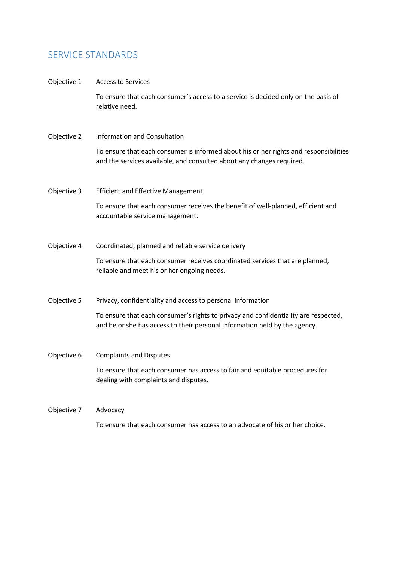### SERVICE STANDARDS

#### Objective 1 Access to Services

To ensure that each consumer's access to a service is decided only on the basis of relative need.

#### Objective 2 Information and Consultation

To ensure that each consumer is informed about his or her rights and responsibilities and the services available, and consulted about any changes required.

Objective 3 Efficient and Effective Management

To ensure that each consumer receives the benefit of well-planned, efficient and accountable service management.

Objective 4 Coordinated, planned and reliable service delivery

To ensure that each consumer receives coordinated services that are planned, reliable and meet his or her ongoing needs.

Objective 5 Privacy, confidentiality and access to personal information

To ensure that each consumer's rights to privacy and confidentiality are respected, and he or she has access to their personal information held by the agency.

Objective 6 Complaints and Disputes To ensure that each consumer has access to fair and equitable procedures for dealing with complaints and disputes.

Objective 7 Advocacy To ensure that each consumer has access to an advocate of his or her choice.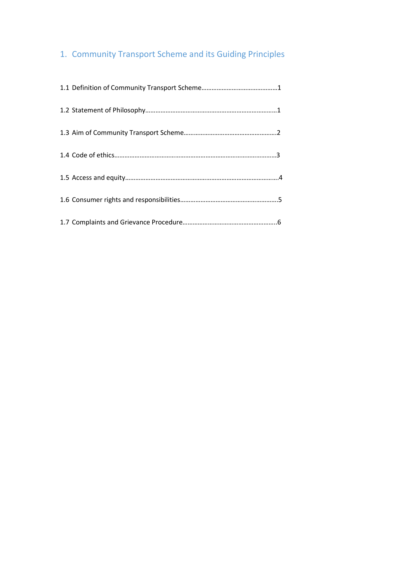# 1. Community Transport Scheme and its Guiding Principles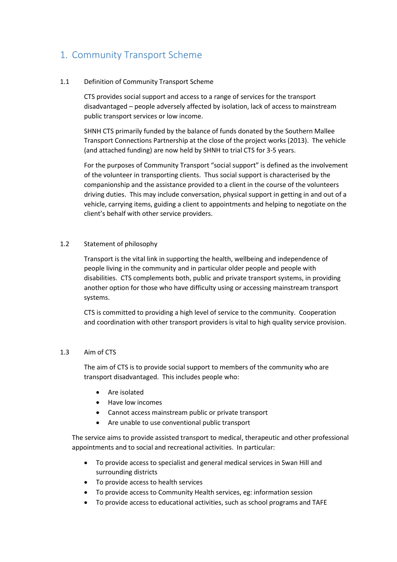## 1. Community Transport Scheme

#### 1.1 Definition of Community Transport Scheme

CTS provides social support and access to a range of services for the transport disadvantaged – people adversely affected by isolation, lack of access to mainstream public transport services or low income.

SHNH CTS primarily funded by the balance of funds donated by the Southern Mallee Transport Connections Partnership at the close of the project works (2013). The vehicle (and attached funding) are now held by SHNH to trial CTS for 3-5 years.

For the purposes of Community Transport "social support" is defined as the involvement of the volunteer in transporting clients. Thus social support is characterised by the companionship and the assistance provided to a client in the course of the volunteers driving duties. This may include conversation, physical support in getting in and out of a vehicle, carrying items, guiding a client to appointments and helping to negotiate on the client's behalf with other service providers.

#### 1.2 Statement of philosophy

Transport is the vital link in supporting the health, wellbeing and independence of people living in the community and in particular older people and people with disabilities. CTS complements both, public and private transport systems, in providing another option for those who have difficulty using or accessing mainstream transport systems.

CTS is committed to providing a high level of service to the community. Cooperation and coordination with other transport providers is vital to high quality service provision.

#### 1.3 Aim of CTS

The aim of CTS is to provide social support to members of the community who are transport disadvantaged. This includes people who:

- Are isolated
- Have low incomes
- Cannot access mainstream public or private transport
- Are unable to use conventional public transport

The service aims to provide assisted transport to medical, therapeutic and other professional appointments and to social and recreational activities. In particular:

- To provide access to specialist and general medical services in Swan Hill and surrounding districts
- To provide access to health services
- To provide access to Community Health services, eg: information session
- To provide access to educational activities, such as school programs and TAFE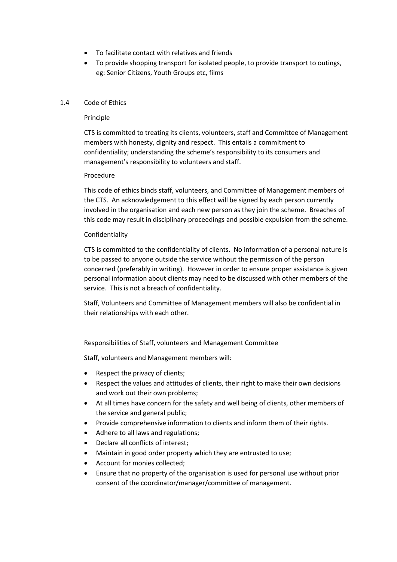- To facilitate contact with relatives and friends
- To provide shopping transport for isolated people, to provide transport to outings, eg: Senior Citizens, Youth Groups etc, films

#### 1.4 Code of Ethics

#### Principle

CTS is committed to treating its clients, volunteers, staff and Committee of Management members with honesty, dignity and respect. This entails a commitment to confidentiality; understanding the scheme's responsibility to its consumers and management's responsibility to volunteers and staff.

#### Procedure

This code of ethics binds staff, volunteers, and Committee of Management members of the CTS. An acknowledgement to this effect will be signed by each person currently involved in the organisation and each new person as they join the scheme. Breaches of this code may result in disciplinary proceedings and possible expulsion from the scheme.

#### Confidentiality

CTS is committed to the confidentiality of clients. No information of a personal nature is to be passed to anyone outside the service without the permission of the person concerned (preferably in writing). However in order to ensure proper assistance is given personal information about clients may need to be discussed with other members of the service. This is not a breach of confidentiality.

Staff, Volunteers and Committee of Management members will also be confidential in their relationships with each other.

#### Responsibilities of Staff, volunteers and Management Committee

Staff, volunteers and Management members will:

- Respect the privacy of clients;
- Respect the values and attitudes of clients, their right to make their own decisions and work out their own problems;
- At all times have concern for the safety and well being of clients, other members of the service and general public;
- Provide comprehensive information to clients and inform them of their rights.
- Adhere to all laws and regulations;
- Declare all conflicts of interest;
- Maintain in good order property which they are entrusted to use;
- Account for monies collected;
- Ensure that no property of the organisation is used for personal use without prior consent of the coordinator/manager/committee of management.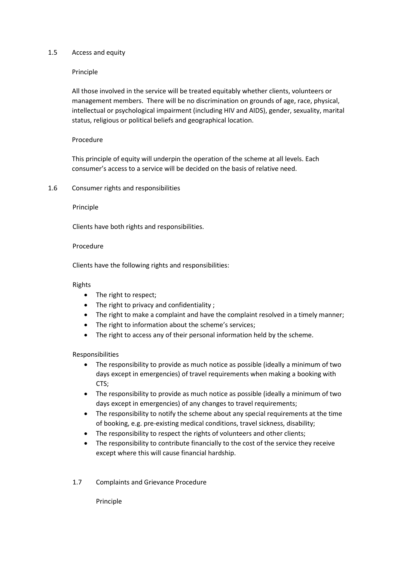#### 1.5 Access and equity

Principle

All those involved in the service will be treated equitably whether clients, volunteers or management members. There will be no discrimination on grounds of age, race, physical, intellectual or psychological impairment (including HIV and AIDS), gender, sexuality, marital status, religious or political beliefs and geographical location.

#### Procedure

This principle of equity will underpin the operation of the scheme at all levels. Each consumer's access to a service will be decided on the basis of relative need.

1.6 Consumer rights and responsibilities

#### Principle

Clients have both rights and responsibilities.

#### Procedure

Clients have the following rights and responsibilities:

#### Rights

- The right to respect;
- The right to privacy and confidentiality ;
- The right to make a complaint and have the complaint resolved in a timely manner;
- The right to information about the scheme's services;
- The right to access any of their personal information held by the scheme.

#### Responsibilities

- The responsibility to provide as much notice as possible (ideally a minimum of two days except in emergencies) of travel requirements when making a booking with CTS;
- The responsibility to provide as much notice as possible (ideally a minimum of two days except in emergencies) of any changes to travel requirements;
- The responsibility to notify the scheme about any special requirements at the time of booking, e.g. pre-existing medical conditions, travel sickness, disability;
- The responsibility to respect the rights of volunteers and other clients;
- The responsibility to contribute financially to the cost of the service they receive except where this will cause financial hardship.
- 1.7 Complaints and Grievance Procedure

Principle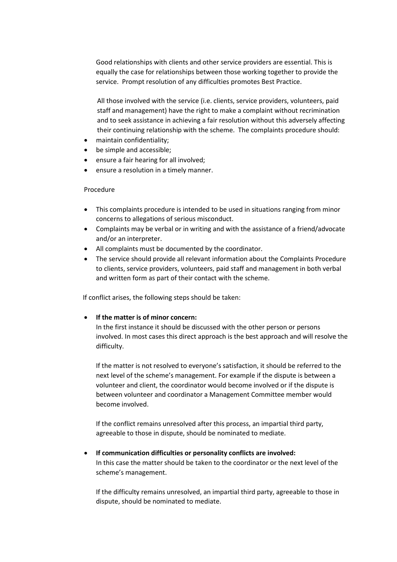Good relationships with clients and other service providers are essential. This is equally the case for relationships between those working together to provide the service. Prompt resolution of any difficulties promotes Best Practice.

All those involved with the service (i.e. clients, service providers, volunteers, paid staff and management) have the right to make a complaint without recrimination and to seek assistance in achieving a fair resolution without this adversely affecting their continuing relationship with the scheme. The complaints procedure should:

- maintain confidentiality;
- be simple and accessible;
- ensure a fair hearing for all involved;
- ensure a resolution in a timely manner.

#### Procedure

- This complaints procedure is intended to be used in situations ranging from minor concerns to allegations of serious misconduct.
- Complaints may be verbal or in writing and with the assistance of a friend/advocate and/or an interpreter.
- All complaints must be documented by the coordinator.
- The service should provide all relevant information about the Complaints Procedure to clients, service providers, volunteers, paid staff and management in both verbal and written form as part of their contact with the scheme.

If conflict arises, the following steps should be taken:

#### **If the matter is of minor concern:**

In the first instance it should be discussed with the other person or persons involved. In most cases this direct approach is the best approach and will resolve the difficulty.

 If the matter is not resolved to everyone's satisfaction, it should be referred to the next level of the scheme's management. For example if the dispute is between a volunteer and client, the coordinator would become involved or if the dispute is between volunteer and coordinator a Management Committee member would become involved.

If the conflict remains unresolved after this process, an impartial third party, agreeable to those in dispute, should be nominated to mediate.

# **If communication difficulties or personality conflicts are involved:**

In this case the matter should be taken to the coordinator or the next level of the scheme's management.

If the difficulty remains unresolved, an impartial third party, agreeable to those in dispute, should be nominated to mediate.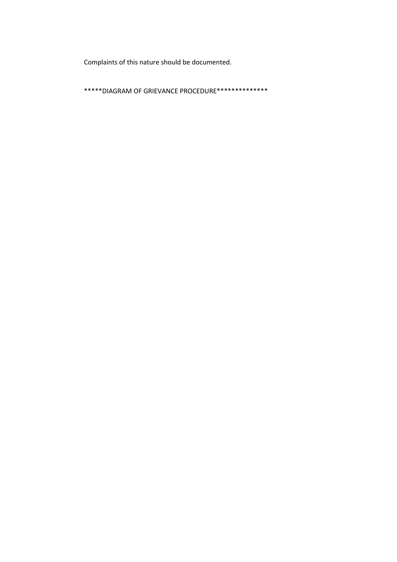Complaints of this nature should be documented.

\*\*\*\*\*DIAGRAM OF GRIEVANCE PROCEDURE\*\*\*\*\*\*\*\*\*\*\*\*\*\*\*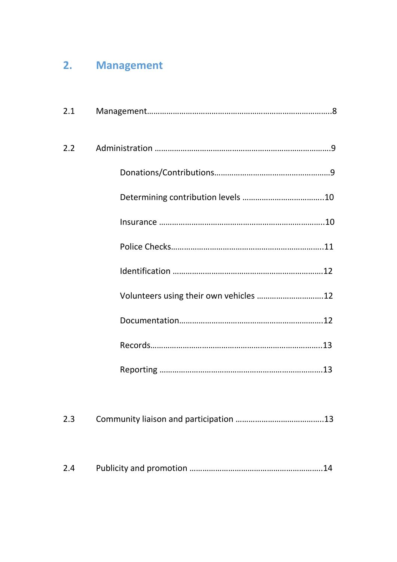# **2. Management**

| 2.1 |                                        |
|-----|----------------------------------------|
| 2.2 |                                        |
|     |                                        |
|     |                                        |
|     |                                        |
|     |                                        |
|     |                                        |
|     | Volunteers using their own vehicles 12 |
|     |                                        |
|     |                                        |
|     |                                        |
|     |                                        |

| 2.3 |  |
|-----|--|
|-----|--|

| 2.4 |  |
|-----|--|
|-----|--|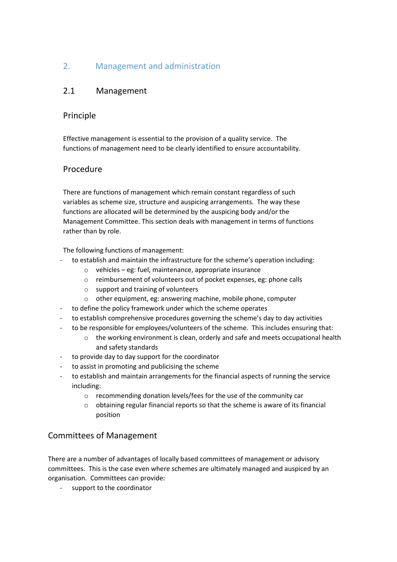### 2. Management and administration

### 2.1 Management

### Principle

Effective management is essential to the provision of a quality service. The functions of management need to be clearly identified to ensure accountability.

### Procedure

There are functions of management which remain constant regardless of such variables as scheme size, structure and auspicing arrangements. The way these functions are allocated will be determined by the auspicing body and/or the Management Committee. This section deals with management in terms of functions rather than by role.

The following functions of management:

- to establish and maintain the infrastructure for the scheme's operation including:
	- o vehicles eg: fuel, maintenance, appropriate insurance
	- o reimbursement of volunteers out of pocket expenses, eg: phone calls
	- o support and training of volunteers
	- o other equipment, eg: answering machine, mobile phone, computer
- to define the policy framework under which the scheme operates
- to establish comprehensive procedures governing the scheme's day to day activities
- to be responsible for employees/volunteers of the scheme. This includes ensuring that:
	- $\circ$  the working environment is clean, orderly and safe and meets occupational health and safety standards
- to provide day to day support for the coordinator
- to assist in promoting and publicising the scheme
- to establish and maintain arrangements for the financial aspects of running the service including:
	- o recommending donation levels/fees for the use of the community car
	- o obtaining regular financial reports so that the scheme is aware of its financial position

### Committees of Management

There are a number of advantages of locally based committees of management or advisory committees. This is the case even where schemes are ultimately managed and auspiced by an organisation. Committees can provide:

support to the coordinator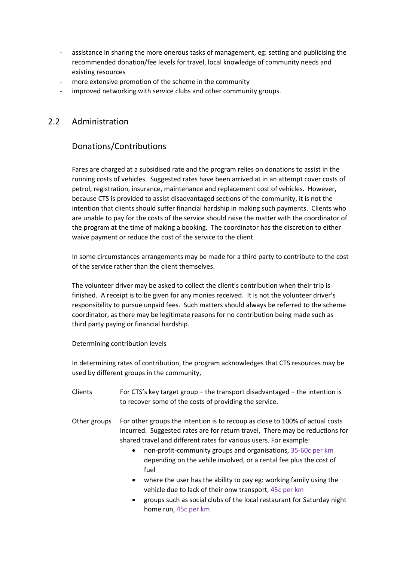- assistance in sharing the more onerous tasks of management, eg: setting and publicising the recommended donation/fee levels for travel, local knowledge of community needs and existing resources
- more extensive promotion of the scheme in the community
- improved networking with service clubs and other community groups.

### 2.2 Administration

### Donations/Contributions

Fares are charged at a subsidised rate and the program relies on donations to assist in the running costs of vehicles. Suggested rates have been arrived at in an attempt cover costs of petrol, registration, insurance, maintenance and replacement cost of vehicles. However, because CTS is provided to assist disadvantaged sections of the community, it is not the intention that clients should suffer financial hardship in making such payments. Clients who are unable to pay for the costs of the service should raise the matter with the coordinator of the program at the time of making a booking. The coordinator has the discretion to either waive payment or reduce the cost of the service to the client.

In some circumstances arrangements may be made for a third party to contribute to the cost of the service rather than the client themselves.

The volunteer driver may be asked to collect the client's contribution when their trip is finished. A receipt is to be given for any monies received. It is not the volunteer driver's responsibility to pursue unpaid fees. Such matters should always be referred to the scheme coordinator, as there may be legitimate reasons for no contribution being made such as third party paying or financial hardship.

Determining contribution levels

In determining rates of contribution, the program acknowledges that CTS resources may be used by different groups in the community,

- Clients For CTS's key target group the transport disadvantaged the intention is to recover some of the costs of providing the service.
- Other groups For other groups the intention is to recoup as close to 100% of actual costs incurred. Suggested rates are for return travel, There may be reductions for shared travel and different rates for various users. For example:
	- non-profit-community groups and organisations, 35-60c per km depending on the vehile involved, or a rental fee plus the cost of fuel
	- where the user has the ability to pay eg: working family using the vehicle due to lack of their onw transport, 45c per km
	- groups such as social clubs of the local restaurant for Saturday night home run, 45c per km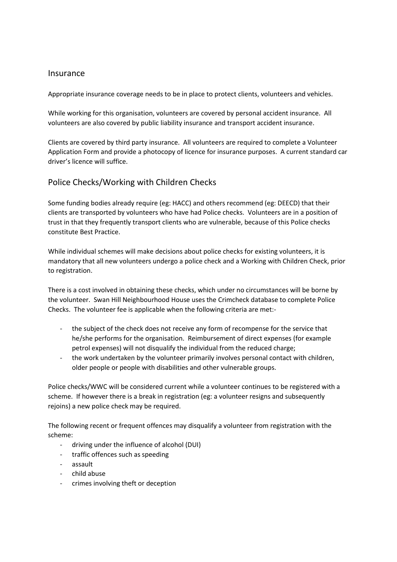#### **Insurance**

Appropriate insurance coverage needs to be in place to protect clients, volunteers and vehicles.

While working for this organisation, volunteers are covered by personal accident insurance. All volunteers are also covered by public liability insurance and transport accident insurance.

Clients are covered by third party insurance. All volunteers are required to complete a Volunteer Application Form and provide a photocopy of licence for insurance purposes. A current standard car driver's licence will suffice.

### Police Checks/Working with Children Checks

Some funding bodies already require (eg: HACC) and others recommend (eg: DEECD) that their clients are transported by volunteers who have had Police checks. Volunteers are in a position of trust in that they frequently transport clients who are vulnerable, because of this Police checks constitute Best Practice.

While individual schemes will make decisions about police checks for existing volunteers, it is mandatory that all new volunteers undergo a police check and a Working with Children Check, prior to registration.

There is a cost involved in obtaining these checks, which under no circumstances will be borne by the volunteer. Swan Hill Neighbourhood House uses the Crimcheck database to complete Police Checks. The volunteer fee is applicable when the following criteria are met:-

- the subject of the check does not receive any form of recompense for the service that he/she performs for the organisation. Reimbursement of direct expenses (for example petrol expenses) will not disqualify the individual from the reduced charge;
- the work undertaken by the volunteer primarily involves personal contact with children, older people or people with disabilities and other vulnerable groups.

Police checks/WWC will be considered current while a volunteer continues to be registered with a scheme. If however there is a break in registration (eg: a volunteer resigns and subsequently rejoins) a new police check may be required.

The following recent or frequent offences may disqualify a volunteer from registration with the scheme:

- driving under the influence of alcohol (DUI)
- traffic offences such as speeding
- assault
- child abuse
- crimes involving theft or deception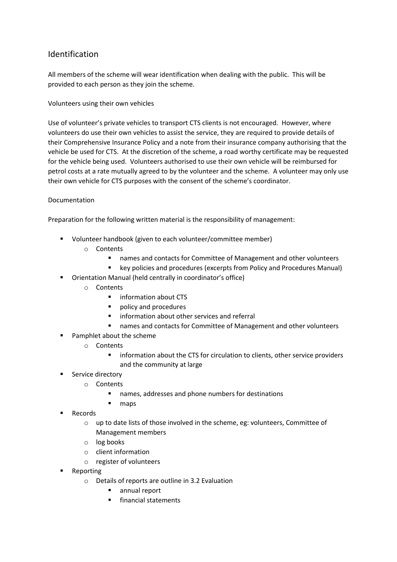### Identification

All members of the scheme will wear identification when dealing with the public. This will be provided to each person as they join the scheme.

Volunteers using their own vehicles

Use of volunteer's private vehicles to transport CTS clients is not encouraged. However, where volunteers do use their own vehicles to assist the service, they are required to provide details of their Comprehensive Insurance Policy and a note from their insurance company authorising that the vehicle be used for CTS. At the discretion of the scheme, a road worthy certificate may be requested for the vehicle being used. Volunteers authorised to use their own vehicle will be reimbursed for petrol costs at a rate mutually agreed to by the volunteer and the scheme. A volunteer may only use their own vehicle for CTS purposes with the consent of the scheme's coordinator.

#### Documentation

Preparation for the following written material is the responsibility of management:

- Volunteer handbook (given to each volunteer/committee member)
	- o Contents
		- names and contacts for Committee of Management and other volunteers
		- **E** key policies and procedures (excerpts from Policy and Procedures Manual)
- Orientation Manual (held centrally in coordinator's office)
	- o Contents
		- **·** information about CTS
		- **policy and procedures**
		- **F** information about other services and referral
		- names and contacts for Committee of Management and other volunteers
- Pamphlet about the scheme
	- o Contents
		- **EXECT** information about the CTS for circulation to clients, other service providers and the community at large
	- Service directory
		- o Contents
			- names, addresses and phone numbers for destinations
			- maps
- Records
	- o up to date lists of those involved in the scheme, eg: volunteers, Committee of Management members
	- o log books
	- o client information
	- o register of volunteers
- Reporting
	- o Details of reports are outline in 3.2 Evaluation
		- annual report
		- **financial statements**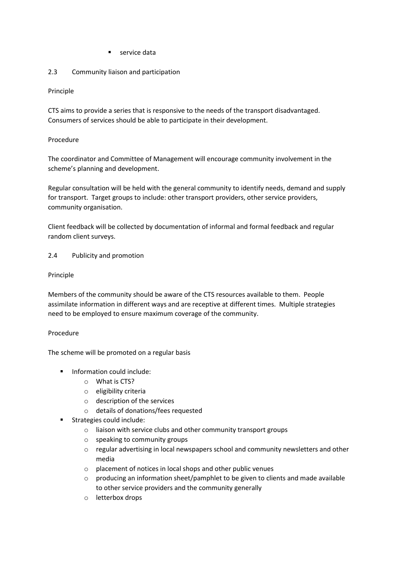service data

#### 2.3 Community liaison and participation

#### Principle

CTS aims to provide a series that is responsive to the needs of the transport disadvantaged. Consumers of services should be able to participate in their development.

#### Procedure

The coordinator and Committee of Management will encourage community involvement in the scheme's planning and development.

Regular consultation will be held with the general community to identify needs, demand and supply for transport. Target groups to include: other transport providers, other service providers, community organisation.

Client feedback will be collected by documentation of informal and formal feedback and regular random client surveys.

#### 2.4 Publicity and promotion

#### Principle

Members of the community should be aware of the CTS resources available to them. People assimilate information in different ways and are receptive at different times. Multiple strategies need to be employed to ensure maximum coverage of the community.

#### Procedure

The scheme will be promoted on a regular basis

- **Information could include:** 
	- o What is CTS?
	- o eligibility criteria
	- o description of the services
	- o details of donations/fees requested
- Strategies could include:
	- o liaison with service clubs and other community transport groups
	- o speaking to community groups
	- o regular advertising in local newspapers school and community newsletters and other media
	- o placement of notices in local shops and other public venues
	- $\circ$  producing an information sheet/pamphlet to be given to clients and made available to other service providers and the community generally
	- o letterbox drops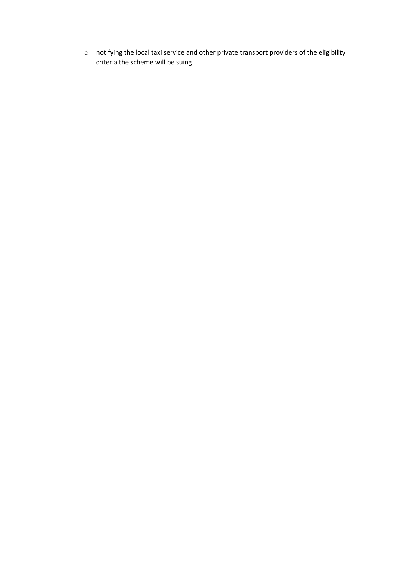o notifying the local taxi service and other private transport providers of the eligibility criteria the scheme will be suing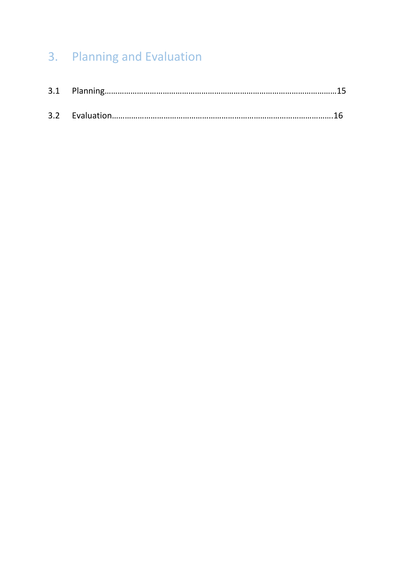# 3. Planning and Evaluation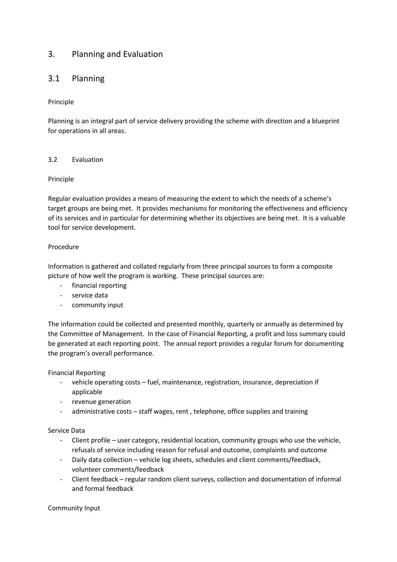### 3. Planning and Evaluation

### 3.1 Planning

#### Principle

Planning is an integral part of service delivery providing the scheme with direction and a blueprint for operations in all areas.

#### 3.2 Evaluation

#### Principle

Regular evaluation provides a means of measuring the extent to which the needs of a scheme's target groups are being met. It provides mechanisms for monitoring the effectiveness and efficiency of its services and in particular for determining whether its objectives are being met. It is a valuable tool for service development.

#### Procedure

Information is gathered and collated regularly from three principal sources to form a composite picture of how well the program is working. These principal sources are:

- financial reporting
- service data
- community input

The information could be collected and presented monthly, quarterly or annually as determined by the Committee of Management. In the case of Financial Reporting, a profit and loss summary could be generated at each reporting point. The annual report provides a regular forum for documenting the program's overall performance.

#### Financial Reporting

- vehicle operating costs fuel, maintenance, registration, insurance, depreciation if applicable
- revenue generation
- administrative costs staff wages, rent, telephone, office supplies and training

#### Service Data

- Client profile user category, residential location, community groups who use the vehicle, refusals of service including reason for refusal and outcome, complaints and outcome
- Daily data collection vehicle log sheets, schedules and client comments/feedback, volunteer comments/feedback
- Client feedback regular random client surveys, collection and documentation of informal and formal feedback

#### Community Input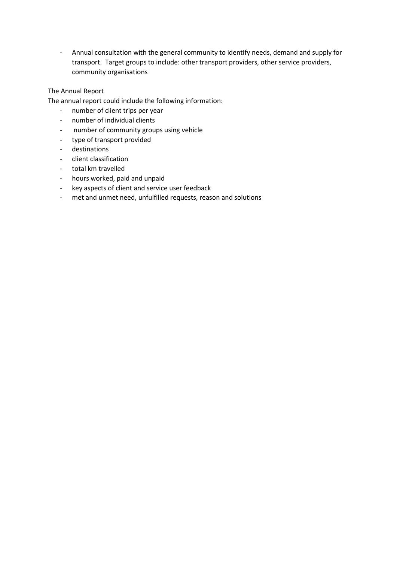- Annual consultation with the general community to identify needs, demand and supply for transport. Target groups to include: other transport providers, other service providers, community organisations

#### The Annual Report

The annual report could include the following information:

- number of client trips per year
- number of individual clients
- number of community groups using vehicle
- type of transport provided
- destinations
- client classification
- total km travelled
- hours worked, paid and unpaid
- key aspects of client and service user feedback
- met and unmet need, unfulfilled requests, reason and solutions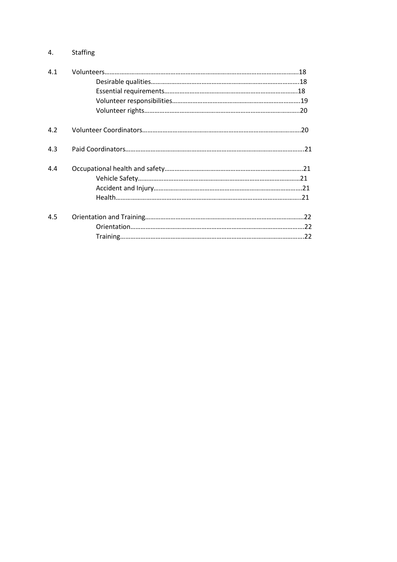### 4. Staffing

| 4.1 |  |
|-----|--|
|     |  |
|     |  |
|     |  |
|     |  |
| 4.2 |  |
| 4.3 |  |
| 4.4 |  |
|     |  |
|     |  |
|     |  |
| 4.5 |  |
|     |  |
|     |  |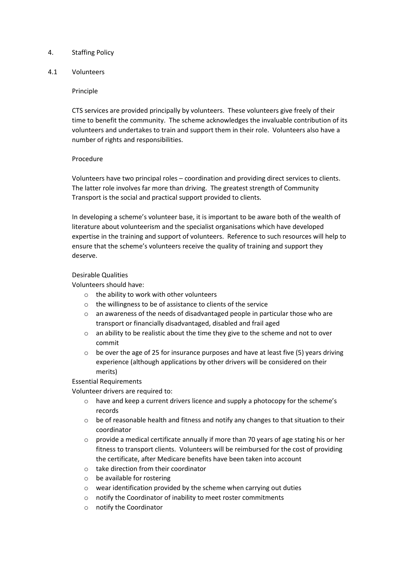#### 4. Staffing Policy

#### 4.1 Volunteers

#### Principle

CTS services are provided principally by volunteers. These volunteers give freely of their time to benefit the community. The scheme acknowledges the invaluable contribution of its volunteers and undertakes to train and support them in their role. Volunteers also have a number of rights and responsibilities.

#### Procedure

Volunteers have two principal roles – coordination and providing direct services to clients. The latter role involves far more than driving. The greatest strength of Community Transport is the social and practical support provided to clients.

In developing a scheme's volunteer base, it is important to be aware both of the wealth of literature about volunteerism and the specialist organisations which have developed expertise in the training and support of volunteers. Reference to such resources will help to ensure that the scheme's volunteers receive the quality of training and support they deserve.

#### Desirable Qualities

Volunteers should have:

- o the ability to work with other volunteers
- o the willingness to be of assistance to clients of the service
- o an awareness of the needs of disadvantaged people in particular those who are transport or financially disadvantaged, disabled and frail aged
- $\circ$  an ability to be realistic about the time they give to the scheme and not to over commit
- $\circ$  be over the age of 25 for insurance purposes and have at least five (5) years driving experience (although applications by other drivers will be considered on their merits)

Essential Requirements

Volunteer drivers are required to:

- o have and keep a current drivers licence and supply a photocopy for the scheme's records
- $\circ$  be of reasonable health and fitness and notify any changes to that situation to their coordinator
- $\circ$  provide a medical certificate annually if more than 70 years of age stating his or her fitness to transport clients. Volunteers will be reimbursed for the cost of providing the certificate, after Medicare benefits have been taken into account
- o take direction from their coordinator
- o be available for rostering
- o wear identification provided by the scheme when carrying out duties
- o notify the Coordinator of inability to meet roster commitments
- o notify the Coordinator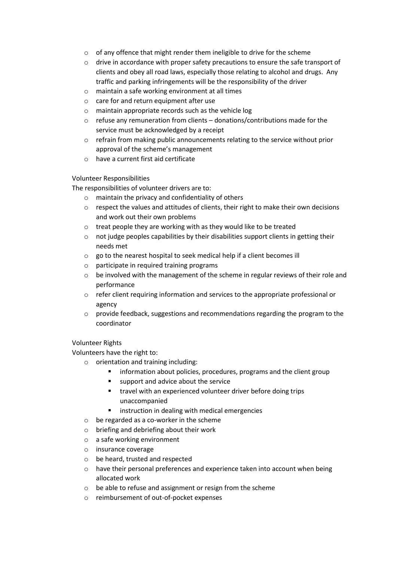- o of any offence that might render them ineligible to drive for the scheme
- o drive in accordance with proper safety precautions to ensure the safe transport of clients and obey all road laws, especially those relating to alcohol and drugs. Any traffic and parking infringements will be the responsibility of the driver
- o maintain a safe working environment at all times
- o care for and return equipment after use
- o maintain appropriate records such as the vehicle log
- o refuse any remuneration from clients donations/contributions made for the service must be acknowledged by a receipt
- o refrain from making public announcements relating to the service without prior approval of the scheme's management
- o have a current first aid certificate

#### Volunteer Responsibilities

The responsibilities of volunteer drivers are to:

- o maintain the privacy and confidentiality of others
- $\circ$  respect the values and attitudes of clients, their right to make their own decisions and work out their own problems
- o treat people they are working with as they would like to be treated
- $\circ$  not judge peoples capabilities by their disabilities support clients in getting their needs met
- o go to the nearest hospital to seek medical help if a client becomes ill
- o participate in required training programs
- $\circ$  be involved with the management of the scheme in regular reviews of their role and performance
- o refer client requiring information and services to the appropriate professional or agency
- o provide feedback, suggestions and recommendations regarding the program to the coordinator

#### Volunteer Rights

Volunteers have the right to:

- o orientation and training including:
	- **F** information about policies, procedures, programs and the client group
	- support and advice about the service
	- **travel with an experienced volunteer driver before doing trips** unaccompanied
	- **EXECT** instruction in dealing with medical emergencies
	- o be regarded as a co-worker in the scheme
	- o briefing and debriefing about their work
	- o a safe working environment
	- o insurance coverage
	- o be heard, trusted and respected
	- o have their personal preferences and experience taken into account when being allocated work
	- o be able to refuse and assignment or resign from the scheme
	- o reimbursement of out-of-pocket expenses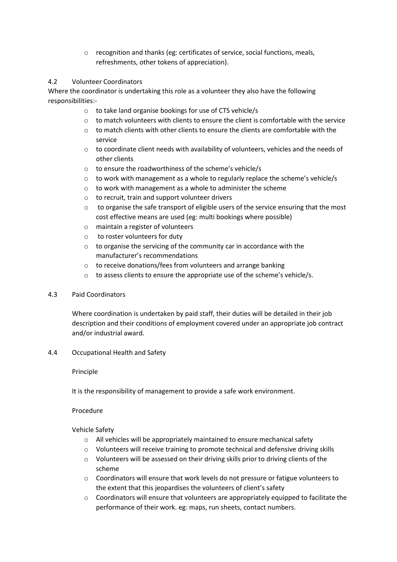o recognition and thanks (eg: certificates of service, social functions, meals, refreshments, other tokens of appreciation).

#### 4.2 Volunteer Coordinators

Where the coordinator is undertaking this role as a volunteer they also have the following responsibilities:-

- o to take land organise bookings for use of CTS vehicle/s
- $\circ$  to match volunteers with clients to ensure the client is comfortable with the service
- $\circ$  to match clients with other clients to ensure the clients are comfortable with the service
- o to coordinate client needs with availability of volunteers, vehicles and the needs of other clients
- o to ensure the roadworthiness of the scheme's vehicle/s
- o to work with management as a whole to regularly replace the scheme's vehicle/s
- o to work with management as a whole to administer the scheme
- o to recruit, train and support volunteer drivers
- $\circ$  to organise the safe transport of eligible users of the service ensuring that the most cost effective means are used (eg: multi bookings where possible)
- o maintain a register of volunteers
- o to roster volunteers for duty
- $\circ$  to organise the servicing of the community car in accordance with the manufacturer's recommendations
- o to receive donations/fees from volunteers and arrange banking
- o to assess clients to ensure the appropriate use of the scheme's vehicle/s.

#### 4.3 Paid Coordinators

Where coordination is undertaken by paid staff, their duties will be detailed in their job description and their conditions of employment covered under an appropriate job contract and/or industrial award.

4.4 Occupational Health and Safety

#### Principle

It is the responsibility of management to provide a safe work environment.

#### Procedure

Vehicle Safety

- o All vehicles will be appropriately maintained to ensure mechanical safety
- o Volunteers will receive training to promote technical and defensive driving skills
- o Volunteers will be assessed on their driving skills prior to driving clients of the scheme
- o Coordinators will ensure that work levels do not pressure or fatigue volunteers to the extent that this jeopardises the volunteers of client's safety
- $\circ$  Coordinators will ensure that volunteers are appropriately equipped to facilitate the performance of their work. eg: maps, run sheets, contact numbers.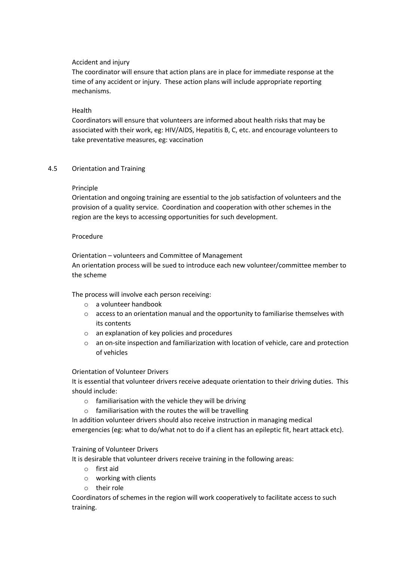#### Accident and injury

The coordinator will ensure that action plans are in place for immediate response at the time of any accident or injury. These action plans will include appropriate reporting mechanisms.

#### Health

Coordinators will ensure that volunteers are informed about health risks that may be associated with their work, eg: HIV/AIDS, Hepatitis B, C, etc. and encourage volunteers to take preventative measures, eg: vaccination

#### 4.5 Orientation and Training

#### Principle

Orientation and ongoing training are essential to the job satisfaction of volunteers and the provision of a quality service. Coordination and cooperation with other schemes in the region are the keys to accessing opportunities for such development.

#### Procedure

Orientation – volunteers and Committee of Management An orientation process will be sued to introduce each new volunteer/committee member to the scheme

The process will involve each person receiving:

- o a volunteer handbook
- o access to an orientation manual and the opportunity to familiarise themselves with its contents
- o an explanation of key policies and procedures
- o an on-site inspection and familiarization with location of vehicle, care and protection of vehicles

Orientation of Volunteer Drivers

It is essential that volunteer drivers receive adequate orientation to their driving duties. This should include:

- o familiarisation with the vehicle they will be driving
- o familiarisation with the routes the will be travelling

In addition volunteer drivers should also receive instruction in managing medical

emergencies (eg: what to do/what not to do if a client has an epileptic fit, heart attack etc).

#### Training of Volunteer Drivers

It is desirable that volunteer drivers receive training in the following areas:

- o first aid
- o working with clients
- o their role

Coordinators of schemes in the region will work cooperatively to facilitate access to such training.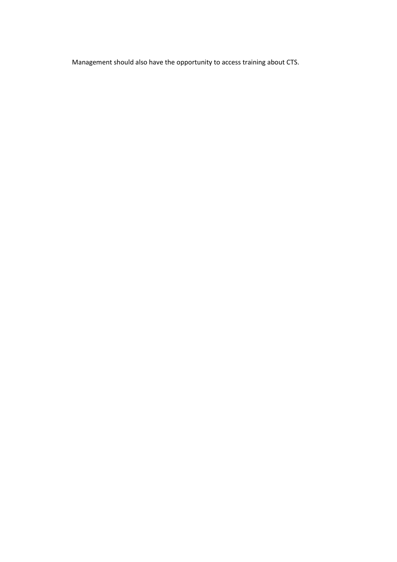Management should also have the opportunity to access training about CTS.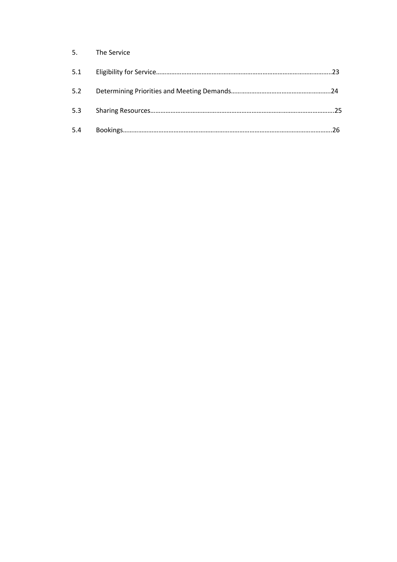| 5.  | The Service |  |
|-----|-------------|--|
| 5.1 |             |  |
| 5.2 |             |  |
| 5.3 |             |  |
| 5.4 |             |  |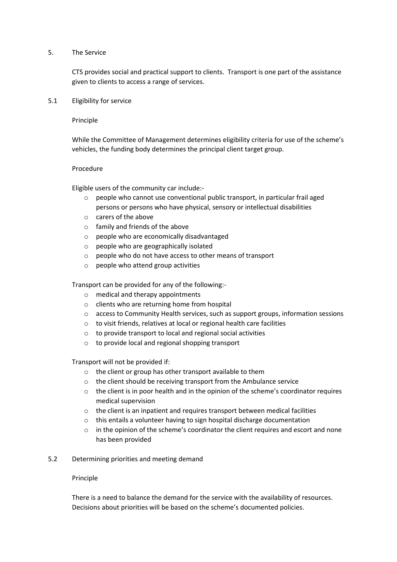#### 5. The Service

CTS provides social and practical support to clients. Transport is one part of the assistance given to clients to access a range of services.

5.1 Eligibility for service

Principle

While the Committee of Management determines eligibility criteria for use of the scheme's vehicles, the funding body determines the principal client target group.

#### Procedure

Eligible users of the community car include:-

- o people who cannot use conventional public transport, in particular frail aged persons or persons who have physical, sensory or intellectual disabilities
- o carers of the above
- o family and friends of the above
- o people who are economically disadvantaged
- o people who are geographically isolated
- o people who do not have access to other means of transport
- o people who attend group activities

Transport can be provided for any of the following:-

- o medical and therapy appointments
- o clients who are returning home from hospital
- o access to Community Health services, such as support groups, information sessions
- o to visit friends, relatives at local or regional health care facilities
- o to provide transport to local and regional social activities
- o to provide local and regional shopping transport

Transport will not be provided if:

- o the client or group has other transport available to them
- o the client should be receiving transport from the Ambulance service
- $\circ$  the client is in poor health and in the opinion of the scheme's coordinator requires medical supervision
- o the client is an inpatient and requires transport between medical facilities
- o this entails a volunteer having to sign hospital discharge documentation
- o in the opinion of the scheme's coordinator the client requires and escort and none has been provided
- 5.2 Determining priorities and meeting demand

#### Principle

There is a need to balance the demand for the service with the availability of resources. Decisions about priorities will be based on the scheme's documented policies.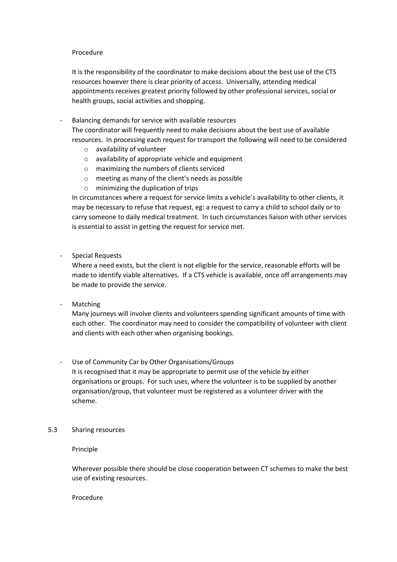#### Procedure

It is the responsibility of the coordinator to make decisions about the best use of the CTS resources however there is clear priority of access. Universally, attending medical appointments receives greatest priority followed by other professional services, social or health groups, social activities and shopping.

- Balancing demands for service with available resources The coordinator will frequently need to make decisions about the best use of available resources. In processing each request for transport the following will need to be considered
	- o availability of volunteer
	- o availability of appropriate vehicle and equipment
	- o maximizing the numbers of clients serviced
	- o meeting as many of the client's needs as possible
	- o minimizing the duplication of trips

In circumstances where a request for service limits a vehicle's availability to other clients, it may be necessary to refuse that request, eg: a request to carry a child to school daily or to carry someone to daily medical treatment. In such circumstances liaison with other services is essential to assist in getting the request for service met.

- Special Requests

Where a need exists, but the client is not eligible for the service, reasonable efforts will be made to identify viable alternatives. If a CTS vehicle is available, once off arrangements may be made to provide the service.

**Matching** 

Many journeys will involve clients and volunteers spending significant amounts of time with each other. The coordinator may need to consider the compatibility of volunteer with client and clients with each other when organising bookings.

- Use of Community Car by Other Organisations/Groups It is recognised that it may be appropriate to permit use of the vehicle by either organisations or groups. For such uses, where the volunteer is to be supplied by another organisation/group, that volunteer must be registered as a volunteer driver with the scheme.
- 5.3 Sharing resources

Principle

Wherever possible there should be close cooperation between CT schemes to make the best use of existing resources.

Procedure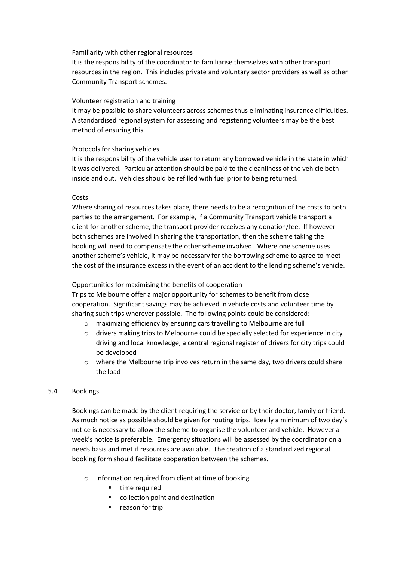#### Familiarity with other regional resources

It is the responsibility of the coordinator to familiarise themselves with other transport resources in the region. This includes private and voluntary sector providers as well as other Community Transport schemes.

#### Volunteer registration and training

It may be possible to share volunteers across schemes thus eliminating insurance difficulties. A standardised regional system for assessing and registering volunteers may be the best method of ensuring this.

#### Protocols for sharing vehicles

It is the responsibility of the vehicle user to return any borrowed vehicle in the state in which it was delivered. Particular attention should be paid to the cleanliness of the vehicle both inside and out. Vehicles should be refilled with fuel prior to being returned.

#### Costs

Where sharing of resources takes place, there needs to be a recognition of the costs to both parties to the arrangement. For example, if a Community Transport vehicle transport a client for another scheme, the transport provider receives any donation/fee. If however both schemes are involved in sharing the transportation, then the scheme taking the booking will need to compensate the other scheme involved. Where one scheme uses another scheme's vehicle, it may be necessary for the borrowing scheme to agree to meet the cost of the insurance excess in the event of an accident to the lending scheme's vehicle.

#### Opportunities for maximising the benefits of cooperation

Trips to Melbourne offer a major opportunity for schemes to benefit from close cooperation. Significant savings may be achieved in vehicle costs and volunteer time by sharing such trips wherever possible. The following points could be considered:-

- o maximizing efficiency by ensuring cars travelling to Melbourne are full
- o drivers making trips to Melbourne could be specially selected for experience in city driving and local knowledge, a central regional register of drivers for city trips could be developed
- $\circ$  where the Melbourne trip involves return in the same day, two drivers could share the load

#### 5.4 Bookings

Bookings can be made by the client requiring the service or by their doctor, family or friend. As much notice as possible should be given for routing trips. Ideally a minimum of two day's notice is necessary to allow the scheme to organise the volunteer and vehicle. However a week's notice is preferable. Emergency situations will be assessed by the coordinator on a needs basis and met if resources are available. The creation of a standardized regional booking form should facilitate cooperation between the schemes.

- o Information required from client at time of booking
	- **time required**
	- **•** collection point and destination
	- **reason for trip**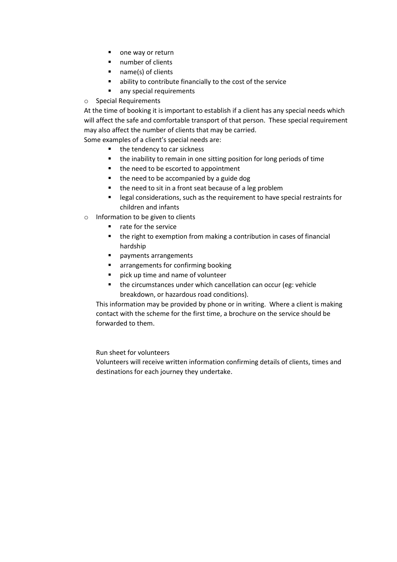- one way or return
- **number of clients**
- name(s) of clients
- ability to contribute financially to the cost of the service
- **any special requirements**
- o Special Requirements

At the time of booking it is important to establish if a client has any special needs which will affect the safe and comfortable transport of that person. These special requirement may also affect the number of clients that may be carried.

Some examples of a client's special needs are:

- the tendency to car sickness
- the inability to remain in one sitting position for long periods of time
- the need to be escorted to appointment
- the need to be accompanied by a guide dog
- the need to sit in a front seat because of a leg problem
- **EXT** legal considerations, such as the requirement to have special restraints for children and infants
- o Information to be given to clients
	- **F** rate for the service
	- the right to exemption from making a contribution in cases of financial hardship
	- **Payments arrangements**
	- **E** arrangements for confirming booking
	- **P** pick up time and name of volunteer
	- **the circumstances under which cancellation can occur (eg: vehicle** breakdown, or hazardous road conditions).

This information may be provided by phone or in writing. Where a client is making contact with the scheme for the first time, a brochure on the service should be forwarded to them.

Run sheet for volunteers

Volunteers will receive written information confirming details of clients, times and destinations for each journey they undertake.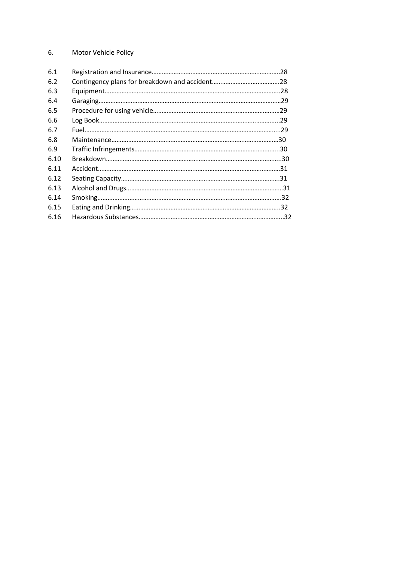### 6. Motor Vehicle Policy

| 6.1  |  |
|------|--|
| 6.2  |  |
| 6.3  |  |
| 6.4  |  |
| 6.5  |  |
| 6.6  |  |
| 6.7  |  |
| 6.8  |  |
| 6.9  |  |
| 6.10 |  |
| 6.11 |  |
| 6.12 |  |
| 6.13 |  |
| 6.14 |  |
| 6.15 |  |
| 6.16 |  |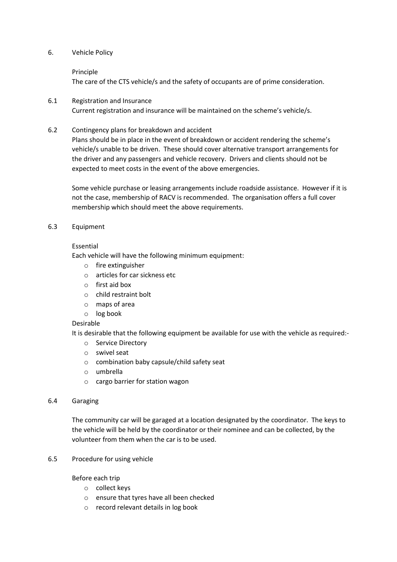#### 6. Vehicle Policy

#### Principle

The care of the CTS vehicle/s and the safety of occupants are of prime consideration.

- 6.1 Registration and Insurance Current registration and insurance will be maintained on the scheme's vehicle/s.
- 6.2 Contingency plans for breakdown and accident

Plans should be in place in the event of breakdown or accident rendering the scheme's vehicle/s unable to be driven. These should cover alternative transport arrangements for the driver and any passengers and vehicle recovery. Drivers and clients should not be expected to meet costs in the event of the above emergencies.

Some vehicle purchase or leasing arrangements include roadside assistance. However if it is not the case, membership of RACV is recommended. The organisation offers a full cover membership which should meet the above requirements.

#### 6.3 Equipment

#### Essential

Each vehicle will have the following minimum equipment:

- o fire extinguisher
- o articles for car sickness etc
- o first aid box
- o child restraint bolt
- o maps of area
- o log book

#### Desirable

It is desirable that the following equipment be available for use with the vehicle as required:-

- o Service Directory
- o swivel seat
- o combination baby capsule/child safety seat
- o umbrella
- o cargo barrier for station wagon

#### 6.4 Garaging

The community car will be garaged at a location designated by the coordinator. The keys to the vehicle will be held by the coordinator or their nominee and can be collected, by the volunteer from them when the car is to be used.

#### 6.5 Procedure for using vehicle

#### Before each trip

- o collect keys
- o ensure that tyres have all been checked
- o record relevant details in log book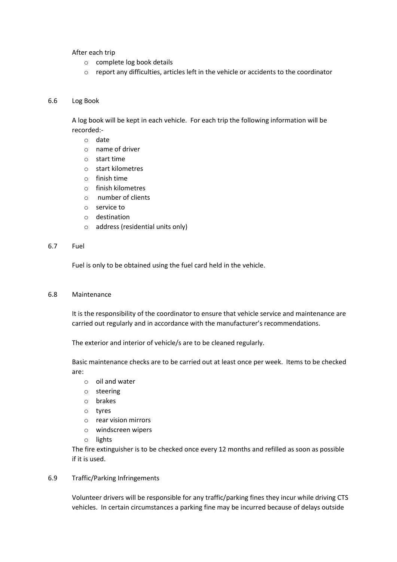After each trip

- o complete log book details
- o report any difficulties, articles left in the vehicle or accidents to the coordinator

#### 6.6 Log Book

A log book will be kept in each vehicle. For each trip the following information will be recorded:-

- o date
- o name of driver
- o start time
- o start kilometres
- o finish time
- o finish kilometres
- o number of clients
- o service to
- o destination
- o address (residential units only)

#### 6.7 Fuel

Fuel is only to be obtained using the fuel card held in the vehicle.

6.8 Maintenance

It is the responsibility of the coordinator to ensure that vehicle service and maintenance are carried out regularly and in accordance with the manufacturer's recommendations.

The exterior and interior of vehicle/s are to be cleaned regularly.

Basic maintenance checks are to be carried out at least once per week. Items to be checked are:

- o oil and water
- o steering
- o brakes
- o tyres
- o rear vision mirrors
- o windscreen wipers
- o lights

The fire extinguisher is to be checked once every 12 months and refilled as soon as possible if it is used.

6.9 Traffic/Parking Infringements

Volunteer drivers will be responsible for any traffic/parking fines they incur while driving CTS vehicles. In certain circumstances a parking fine may be incurred because of delays outside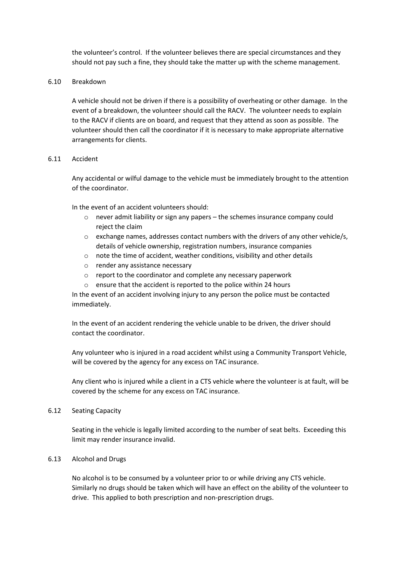the volunteer's control. If the volunteer believes there are special circumstances and they should not pay such a fine, they should take the matter up with the scheme management.

#### 6.10 Breakdown

A vehicle should not be driven if there is a possibility of overheating or other damage. In the event of a breakdown, the volunteer should call the RACV. The volunteer needs to explain to the RACV if clients are on board, and request that they attend as soon as possible. The volunteer should then call the coordinator if it is necessary to make appropriate alternative arrangements for clients.

#### 6.11 Accident

Any accidental or wilful damage to the vehicle must be immediately brought to the attention of the coordinator.

In the event of an accident volunteers should:

- o never admit liability or sign any papers the schemes insurance company could reject the claim
- $\circ$  exchange names, addresses contact numbers with the drivers of any other vehicle/s, details of vehicle ownership, registration numbers, insurance companies
- o note the time of accident, weather conditions, visibility and other details
- o render any assistance necessary
- o report to the coordinator and complete any necessary paperwork
- o ensure that the accident is reported to the police within 24 hours

In the event of an accident involving injury to any person the police must be contacted immediately.

In the event of an accident rendering the vehicle unable to be driven, the driver should contact the coordinator.

Any volunteer who is injured in a road accident whilst using a Community Transport Vehicle, will be covered by the agency for any excess on TAC insurance.

Any client who is injured while a client in a CTS vehicle where the volunteer is at fault, will be covered by the scheme for any excess on TAC insurance.

#### 6.12 Seating Capacity

Seating in the vehicle is legally limited according to the number of seat belts. Exceeding this limit may render insurance invalid.

#### 6.13 Alcohol and Drugs

No alcohol is to be consumed by a volunteer prior to or while driving any CTS vehicle. Similarly no drugs should be taken which will have an effect on the ability of the volunteer to drive. This applied to both prescription and non-prescription drugs.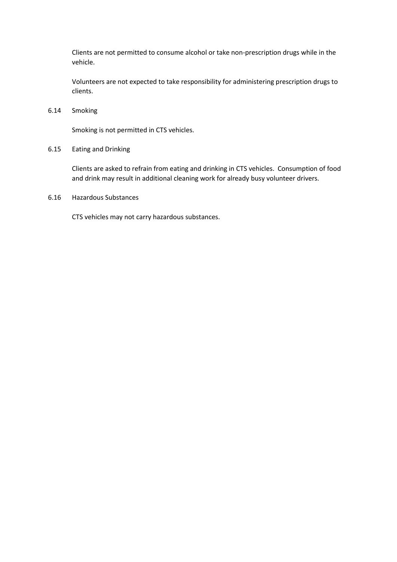Clients are not permitted to consume alcohol or take non-prescription drugs while in the vehicle.

Volunteers are not expected to take responsibility for administering prescription drugs to clients.

6.14 Smoking

Smoking is not permitted in CTS vehicles.

6.15 Eating and Drinking

Clients are asked to refrain from eating and drinking in CTS vehicles. Consumption of food and drink may result in additional cleaning work for already busy volunteer drivers.

6.16 Hazardous Substances

CTS vehicles may not carry hazardous substances.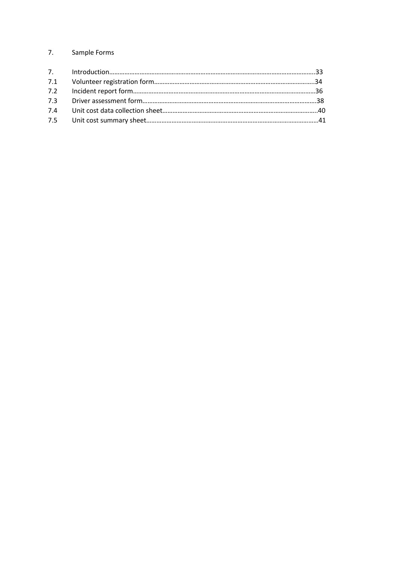### 7. Sample Forms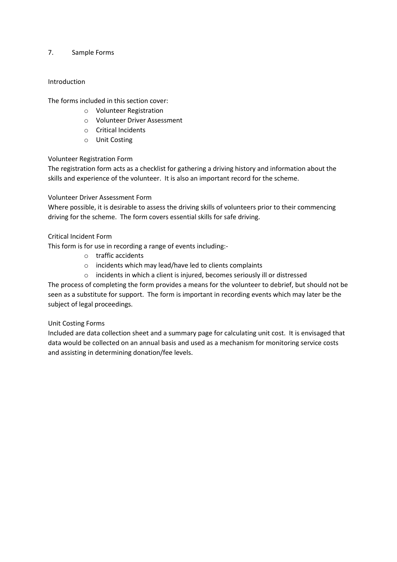#### 7. Sample Forms

#### Introduction

The forms included in this section cover:

- o Volunteer Registration
- o Volunteer Driver Assessment
- o Critical Incidents
- o Unit Costing

#### Volunteer Registration Form

The registration form acts as a checklist for gathering a driving history and information about the skills and experience of the volunteer. It is also an important record for the scheme.

#### Volunteer Driver Assessment Form

Where possible, it is desirable to assess the driving skills of volunteers prior to their commencing driving for the scheme. The form covers essential skills for safe driving.

#### Critical Incident Form

This form is for use in recording a range of events including:-

- o traffic accidents
- o incidents which may lead/have led to clients complaints
- o incidents in which a client is injured, becomes seriously ill or distressed

The process of completing the form provides a means for the volunteer to debrief, but should not be seen as a substitute for support. The form is important in recording events which may later be the subject of legal proceedings.

#### Unit Costing Forms

Included are data collection sheet and a summary page for calculating unit cost. It is envisaged that data would be collected on an annual basis and used as a mechanism for monitoring service costs and assisting in determining donation/fee levels.